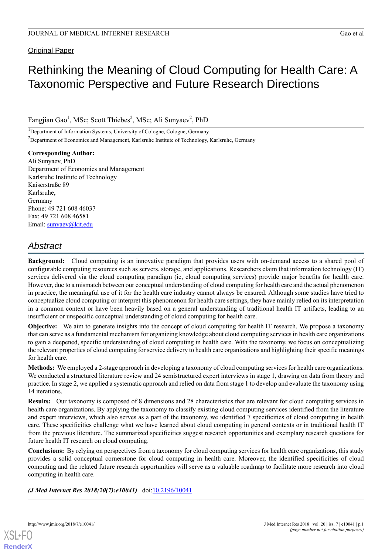# Original Paper

# Rethinking the Meaning of Cloud Computing for Health Care: A Taxonomic Perspective and Future Research Directions

Fangjian Gao<sup>1</sup>, MSc; Scott Thiebes<sup>2</sup>, MSc; Ali Sunyaev<sup>2</sup>, PhD

<sup>1</sup>Department of Information Systems, University of Cologne, Cologne, Germany

<sup>2</sup>Department of Economics and Management, Karlsruhe Institute of Technology, Karlsruhe, Germany

### **Corresponding Author:**

Ali Sunyaev, PhD Department of Economics and Management Karlsruhe Institute of Technology Kaiserstraße 89 Karlsruhe, Germany Phone: 49 721 608 46037 Fax: 49 721 608 46581 Email: [sunyaev@kit.edu](mailto:sunyaev@kit.edu)

# *Abstract*

**Background:** Cloud computing is an innovative paradigm that provides users with on-demand access to a shared pool of configurable computing resources such as servers, storage, and applications. Researchers claim that information technology (IT) services delivered via the cloud computing paradigm (ie, cloud computing services) provide major benefits for health care. However, due to a mismatch between our conceptual understanding of cloud computing for health care and the actual phenomenon in practice, the meaningful use of it for the health care industry cannot always be ensured. Although some studies have tried to conceptualize cloud computing or interpret this phenomenon for health care settings, they have mainly relied on its interpretation in a common context or have been heavily based on a general understanding of traditional health IT artifacts, leading to an insufficient or unspecific conceptual understanding of cloud computing for health care.

**Objective:** We aim to generate insights into the concept of cloud computing for health IT research. We propose a taxonomy that can serve as a fundamental mechanism for organizing knowledge about cloud computing services in health care organizations to gain a deepened, specific understanding of cloud computing in health care. With the taxonomy, we focus on conceptualizing the relevant properties of cloud computing for service delivery to health care organizations and highlighting their specific meanings for health care.

**Methods:** We employed a 2-stage approach in developing a taxonomy of cloud computing services for health care organizations. We conducted a structured literature review and 24 semistructured expert interviews in stage 1, drawing on data from theory and practice. In stage 2, we applied a systematic approach and relied on data from stage 1 to develop and evaluate the taxonomy using 14 iterations.

**Results:** Our taxonomy is composed of 8 dimensions and 28 characteristics that are relevant for cloud computing services in health care organizations. By applying the taxonomy to classify existing cloud computing services identified from the literature and expert interviews, which also serves as a part of the taxonomy, we identified 7 specificities of cloud computing in health care. These specificities challenge what we have learned about cloud computing in general contexts or in traditional health IT from the previous literature. The summarized specificities suggest research opportunities and exemplary research questions for future health IT research on cloud computing.

**Conclusions:** By relying on perspectives from a taxonomy for cloud computing services for health care organizations, this study provides a solid conceptual cornerstone for cloud computing in health care. Moreover, the identified specificities of cloud computing and the related future research opportunities will serve as a valuable roadmap to facilitate more research into cloud computing in health care.

*(J Med Internet Res 2018;20(7):e10041)* doi:[10.2196/10041](http://dx.doi.org/10.2196/10041)

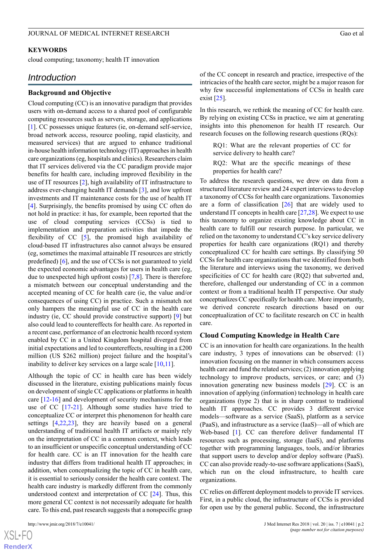#### **KEYWORDS**

cloud computing; taxonomy; health IT innovation

# *Introduction*

## **Background and Objective**

Cloud computing (CC) is an innovative paradigm that provides users with on-demand access to a shared pool of configurable computing resources such as servers, storage, and applications [[1\]](#page-12-0). CC possesses unique features (ie, on-demand self-service, broad network access, resource pooling, rapid elasticity, and measured services) that are argued to enhance traditional in-house health information technology (IT) approaches in health care organizations (eg, hospitals and clinics). Researchers claim that IT services delivered via the CC paradigm provide major benefits for health care, including improved flexibility in the use of IT resources [\[2](#page-12-1)], high availability of IT infrastructure to address ever-changing health IT demands [[3\]](#page-12-2), and low upfront investments and IT maintenance costs for the use of health IT [[4\]](#page-12-3). Surprisingly, the benefits promised by using CC often do not hold in practice: it has, for example, been reported that the use of cloud computing services (CCSs) is tied to implementation and preparation activities that impede the flexibility of CC [[5\]](#page-12-4), the promised high availability of cloud-based IT infrastructures also cannot always be ensured (eg, sometimes the maximal attainable IT resources are strictly predefined) [\[6](#page-12-5)], and the use of CCSs is not guaranteed to yield the expected economic advantages for users in health care (eg, due to unexpected high upfront costs) [[7,](#page-12-6)[8](#page-12-7)]. There is therefore a mismatch between our conceptual understanding and the accepted meaning of CC for health care (ie, the value and/or consequences of using CC) in practice. Such a mismatch not only hampers the meaningful use of CC in the health care industry (ie, CC should provide constructive support) [\[9](#page-12-8)] but also could lead to countereffects for health care. As reported in a recent case, performance of an electronic health record system enabled by CC in a United Kingdom hospital diverged from initial expectations and led to countereffects, resulting in a £200 million (US \$262 million) project failure and the hospital's inability to deliver key services on a large scale [[10](#page-12-9)[,11](#page-12-10)].

Although the topic of CC in health care has been widely discussed in the literature, existing publications mainly focus on development of single CC applications or platforms in health care [\[12](#page-12-11)-[16\]](#page-13-0) and development of security mechanisms for the use of CC [[17-](#page-13-1)[21\]](#page-13-2). Although some studies have tried to conceptualize CC or interpret this phenomenon for health care settings [\[4](#page-12-3),[22,](#page-13-3)[23](#page-13-4)], they are heavily based on a general understanding of traditional health IT artifacts or mainly rely on the interpretation of CC in a common context, which leads to an insufficient or unspecific conceptual understanding of CC for health care. CC is an IT innovation for the health care industry that differs from traditional health IT approaches; in addition, when conceptualizing the topic of CC in health care, it is essential to seriously consider the health care context. The health care industry is markedly different from the commonly understood context and interpretation of CC [[24\]](#page-13-5). Thus, this more general CC context is not necessarily adequate for health care. To this end, past research suggests that a nonspecific grasp

[XSL](http://www.w3.org/Style/XSL)•FO **[RenderX](http://www.renderx.com/)** of the CC concept in research and practice, irrespective of the intricacies of the health care sector, might be a major reason for why few successful implementations of CCSs in health care exist  $[25]$  $[25]$ .

In this research, we rethink the meaning of CC for health care. By relying on existing CCSs in practice, we aim at generating insights into this phenomenon for health IT research. Our research focuses on the following research questions (RQs):

RQ1: What are the relevant properties of CC for service delivery to health care?

RQ2: What are the specific meanings of these properties for health care?

To address the research questions, we drew on data from a structured literature review and 24 expert interviews to develop a taxonomy of CCSs for health care organizations. Taxonomies are a form of classification  $[26]$  $[26]$  that are widely used to understand IT concepts in health care  $[27,28]$  $[27,28]$  $[27,28]$ . We expect to use this taxonomy to organize existing knowledge about CC in health care to fulfill our research purpose. In particular, we relied on the taxonomy to understand CC's key service delivery properties for health care organizations (RQ1) and thereby conceptualized CC for health care settings. By classifying 50 CCSs for health care organizations that we identified from both the literature and interviews using the taxonomy, we derived specificities of CC for health care (RQ2) that subverted and, therefore, challenged our understanding of CC in a common context or from a traditional health IT perspective. Our study conceptualizes CC specifically for health care. More importantly, we derived concrete research directions based on our conceptualization of CC to facilitate research on CC in health care.

#### **Cloud Computing Knowledge in Health Care**

CC is an innovation for health care organizations. In the health care industry, 3 types of innovations can be observed: (1) innovation focusing on the manner in which consumers access health care and fund the related services; (2) innovation applying technology to improve products, services, or care; and (3) innovation generating new business models [[29\]](#page-13-10). CC is an innovation of applying (information) technology in health care organizations (type 2) that is in sharp contrast to traditional health IT approaches. CC provides 3 different service models—software as a service (SaaS), platform as a service (PaaS), and infrastructure as a service (IaaS)—all of which are Web-based [[1\]](#page-12-0). CC can therefore deliver fundamental IT resources such as processing, storage (IaaS), and platforms together with programming languages, tools, and/or libraries that support users to develop and/or deploy software (PaaS). CC can also provide ready-to-use software applications (SaaS), which run on the cloud infrastructure, to health care organizations.

CC relies on different deployment models to provide IT services. First, in a public cloud, the infrastructure of CCSs is provided for open use by the general public. Second, the infrastructure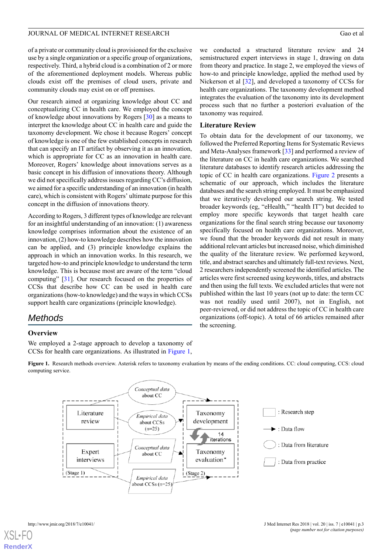of a private or community cloud is provisioned for the exclusive use by a single organization or a specific group of organizations, respectively. Third, a hybrid cloud is a combination of 2 or more of the aforementioned deployment models. Whereas public clouds exist off the premises of cloud users, private and community clouds may exist on or off premises.

Our research aimed at organizing knowledge about CC and conceptualizing CC in health care. We employed the concept of knowledge about innovations by Rogers [\[30](#page-13-11)] as a means to interpret the knowledge about CC in health care and guide the taxonomy development. We chose it because Rogers' concept of knowledge is one of the few established concepts in research that can specify an IT artifact by observing it as an innovation, which is appropriate for CC as an innovation in health care. Moreover, Rogers' knowledge about innovations serves as a basic concept in his diffusion of innovations theory. Although we did not specifically address issues regarding CC's diffusion, we aimed for a specific understanding of an innovation (in health care), which is consistent with Rogers' ultimate purpose for this concept in the diffusion of innovations theory.

According to Rogers, 3 different types of knowledge are relevant for an insightful understanding of an innovation: (1) awareness knowledge comprises information about the existence of an innovation, (2) how-to knowledge describes how the innovation can be applied, and (3) principle knowledge explains the approach in which an innovation works. In this research, we targeted how-to and principle knowledge to understand the term knowledge. This is because most are aware of the term "cloud computing" [\[31](#page-13-12)]. Our research focused on the properties of CCSs that describe how CC can be used in health care organizations (how-to knowledge) and the ways in which CCSs support health care organizations (principle knowledge).

# *Methods*

### <span id="page-2-0"></span>**Overview**

We employed a 2-stage approach to develop a taxonomy of CCSs for health care organizations. As illustrated in [Figure 1](#page-2-0),

we conducted a structured literature review and 24 semistructured expert interviews in stage 1, drawing on data from theory and practice. In stage 2, we employed the views of how-to and principle knowledge, applied the method used by Nickerson et al [[32\]](#page-13-13), and developed a taxonomy of CCSs for health care organizations. The taxonomy development method integrates the evaluation of the taxonomy into its development process such that no further a posteriori evaluation of the taxonomy was required.

### **Literature Review**

To obtain data for the development of our taxonomy, we followed the Preferred Reporting Items for Systematic Reviews and Meta-Analyses framework [\[33](#page-13-14)] and performed a review of the literature on CC in health care organizations. We searched literature databases to identify research articles addressing the topic of CC in health care organizations. [Figure 2](#page-3-0) presents a schematic of our approach, which includes the literature databases and the search string employed. It must be emphasized that we iteratively developed our search string. We tested broader keywords (eg, "eHealth," "health IT") but decided to employ more specific keywords that target health care organizations for the final search string because our taxonomy specifically focused on health care organizations. Moreover, we found that the broader keywords did not result in many additional relevant articles but increased noise, which diminished the quality of the literature review. We performed keyword, title, and abstract searches and ultimately full-text reviews. Next, 2 researchers independently screened the identified articles. The articles were first screened using keywords, titles, and abstracts and then using the full texts. We excluded articles that were not published within the last 10 years (not up to date: the term CC was not readily used until 2007), not in English, not peer-reviewed, or did not address the topic of CC in health care organizations (off-topic). A total of 66 articles remained after the screening.

Figure 1. Research methods overview. Asterisk refers to taxonomy evaluation by means of the ending conditions. CC: cloud computing, CCS: cloud computing service.

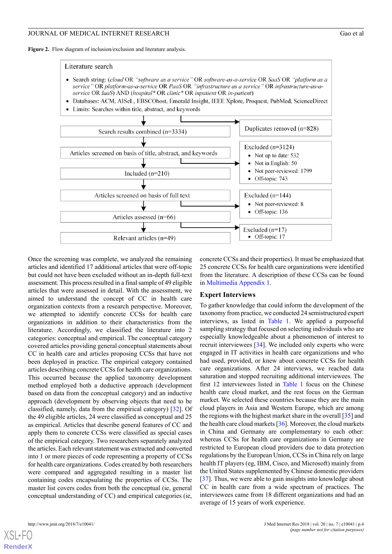<span id="page-3-0"></span>Figure 2. Flow diagram of inclusion/exclusion and literature analysis.



Once the screening was complete, we analyzed the remaining articles and identified 17 additional articles that were off-topic but could not have been excluded without an in-depth full-text assessment. This process resulted in a final sample of 49 eligible articles that were assessed in detail. With the assessment, we aimed to understand the concept of CC in health care organization contexts from a research perspective. Moreover, we attempted to identify concrete CCSs for health care organizations in addition to their characteristics from the literature. Accordingly, we classified the literature into 2 categories: conceptual and empirical. The conceptual category covered articles providing general conceptual statements about CC in health care and articles proposing CCSs that have not been deployed in practice. The empirical category contained articles describing concrete CCSs for health care organizations. This occurred because the applied taxonomy development method employed both a deductive approach (development based on data from the conceptual category) and an inductive approach (development by observing objects that need to be classified, namely, data from the empirical category) [\[32](#page-13-13)]. Of the 49 eligible articles, 24 were classified as conceptual and 25 as empirical. Articles that describe general features of CC and apply them to concrete CCSs were classified as special cases of the empirical category. Two researchers separately analyzed the articles. Each relevant statement was extracted and converted into 1 or more pieces of code representing a property of CCSs for health care organizations. Codes created by both researchers were compared and aggregated resulting in a master list containing codes encapsulating the properties of CCSs. The master list covers codes from both the conceptual (ie, general conceptual understanding of CC) and empirical categories (ie,

concrete CCSs and their properties). It must be emphasized that 25 concrete CCSs for health care organizations were identified from the literature. A description of these CCSs can be found in [Multimedia Appendix 1.](#page-11-0)

### **Expert Interviews**

To gather knowledge that could inform the development of the taxonomy from practice, we conducted 24 semistructured expert interviews, as listed in [Table 1](#page-4-0). We applied a purposeful sampling strategy that focused on selecting individuals who are especially knowledgeable about a phenomenon of interest to recruit interviewees [\[34](#page-13-15)]. We included only experts who were engaged in IT activities in health care organizations and who had used, provided, or knew about concrete CCSs for health care organizations. After 24 interviews, we reached data saturation and stopped recruiting additional interviewees. The first 12 interviewees listed in [Table 1](#page-4-0) focus on the Chinese health care cloud market, and the rest focus on the German market. We selected these countries because they are the main cloud players in Asia and Western Europe, which are among the regions with the highest market share in the overall [\[35](#page-13-16)] and the health care cloud markets [[36\]](#page-13-17). Moreover, the cloud markets in China and Germany are complementary to each other: whereas CCSs for health care organizations in Germany are restricted to European cloud providers due to data protection regulations by the European Union, CCSs in China rely on large health IT players (eg, IBM, Cisco, and Microsoft) mainly from the United States supplemented by Chinese domestic providers [[37\]](#page-13-18). Thus, we were able to gain insights into knowledge about CC in health care from a wide spectrum of practices. The interviewees came from 18 different organizations and had an average of 15 years of work experience.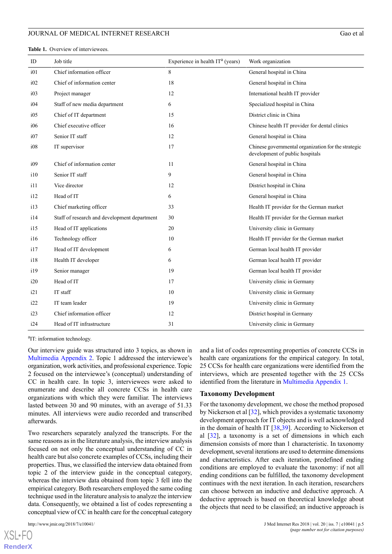<span id="page-4-0"></span>

| ID              | Job title                                    | Experience in health $ITa$ (years) | Work organization                                                                      |
|-----------------|----------------------------------------------|------------------------------------|----------------------------------------------------------------------------------------|
| i01             | Chief information officer                    | $8\,$                              | General hospital in China                                                              |
| i02             | Chief of information center                  | 18                                 | General hospital in China                                                              |
| i03             | Project manager                              | 12                                 | International health IT provider                                                       |
| i04             | Staff of new media department                | 6                                  | Specialized hospital in China                                                          |
| i05             | Chief of IT department                       | 15                                 | District clinic in China                                                               |
| i06             | Chief executive officer                      | 16                                 | Chinese health IT provider for dental clinics                                          |
| i07             | Senior IT staff                              | 12                                 | General hospital in China                                                              |
| i08             | IT supervisor                                | 17                                 | Chinese governmental organization for the strategic<br>development of public hospitals |
| i09             | Chief of information center                  | 11                                 | General hospital in China                                                              |
| $\frac{110}{2}$ | Senior IT staff                              | 9                                  | General hospital in China                                                              |
| i11             | Vice director                                | 12                                 | District hospital in China                                                             |
| 112             | Head of IT                                   | 6                                  | General hospital in China                                                              |
| 113             | Chief marketing officer                      | 33                                 | Health IT provider for the German market                                               |
| 114             | Staff of research and development department | 30                                 | Health IT provider for the German market                                               |
| 115             | Head of IT applications                      | 20                                 | University clinic in Germany                                                           |
| 116             | Technology officer                           | 10                                 | Health IT provider for the German market                                               |
| 117             | Head of IT development                       | 6                                  | German local health IT provider                                                        |
| 118             | Health IT developer                          | 6                                  | German local health IT provider                                                        |
| i19             | Senior manager                               | 19                                 | German local health IT provider                                                        |
| i20             | Head of IT                                   | 17                                 | University clinic in Germany                                                           |
| i21             | IT staff                                     | 10                                 | University clinic in Germany                                                           |
| i22             | IT team leader                               | 19                                 | University clinic in Germany                                                           |
| i23             | Chief information officer                    | 12                                 | District hospital in Germany                                                           |
| i24             | Head of IT infrastructure                    | 31                                 | University clinic in Germany                                                           |

<sup>a</sup>IT: information technology.

Our interview guide was structured into 3 topics, as shown in [Multimedia Appendix 2](#page-11-1). Topic 1 addressed the interviewee's organization, work activities, and professional experience. Topic 2 focused on the interviewee's (conceptual) understanding of CC in health care. In topic 3, interviewees were asked to enumerate and describe all concrete CCSs in health care organizations with which they were familiar. The interviews lasted between 30 and 90 minutes, with an average of 51.33 minutes. All interviews were audio recorded and transcribed afterwards.

Two researchers separately analyzed the transcripts. For the same reasons as in the literature analysis, the interview analysis focused on not only the conceptual understanding of CC in health care but also concrete examples of CCSs, including their properties. Thus, we classified the interview data obtained from topic 2 of the interview guide in the conceptual category, whereas the interview data obtained from topic 3 fell into the empirical category. Both researchers employed the same coding technique used in the literature analysis to analyze the interview data. Consequently, we obtained a list of codes representing a conceptual view of CC in health care for the conceptual category

 $XS$  • FO **[RenderX](http://www.renderx.com/)** and a list of codes representing properties of concrete CCSs in health care organizations for the empirical category. In total, 25 CCSs for health care organizations were identified from the interviews, which are presented together with the 25 CCSs identified from the literature in [Multimedia Appendix 1.](#page-11-0)

#### **Taxonomy Development**

For the taxonomy development, we chose the method proposed by Nickerson et al [[32\]](#page-13-13), which provides a systematic taxonomy development approach for IT objects and is well acknowledged in the domain of health IT  $[38,39]$  $[38,39]$  $[38,39]$ . According to Nickerson et al [[32\]](#page-13-13), a taxonomy is a set of dimensions in which each dimension consists of more than 1 characteristic. In taxonomy development, several iterations are used to determine dimensions and characteristics. After each iteration, predefined ending conditions are employed to evaluate the taxonomy: if not all ending conditions can be fulfilled, the taxonomy development continues with the next iteration. In each iteration, researchers can choose between an inductive and deductive approach. A deductive approach is based on theoretical knowledge about the objects that need to be classified; an inductive approach is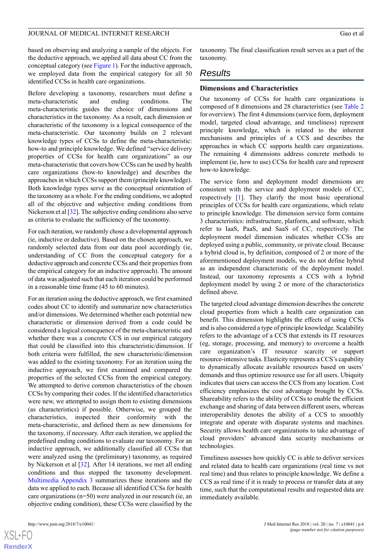based on observing and analyzing a sample of the objects. For the deductive approach, we applied all data about CC from the conceptual category (see [Figure 1](#page-2-0)). For the inductive approach, we employed data from the empirical category for all 50 identified CCSs in health care organizations.

Before developing a taxonomy, researchers must define a meta-characteristic and ending conditions. The meta-characteristic guides the choice of dimensions and characteristics in the taxonomy. As a result, each dimension or characteristic of the taxonomy is a logical consequence of the meta-characteristic. Our taxonomy builds on 2 relevant knowledge types of CCSs to define the meta-characteristic: how-to and principle knowledge. We defined "service delivery properties of CCSs for health care organizations" as our meta-characteristic that covers how CCSs can be used by health care organizations (how-to knowledge) and describes the approaches in which CCSs support them (principle knowledge). Both knowledge types serve as the conceptual orientation of the taxonomy as a whole. For the ending conditions, we adopted all of the objective and subjective ending conditions from Nickerson et al [[32\]](#page-13-13). The subjective ending conditions also serve as criteria to evaluate the sufficiency of the taxonomy.

For each iteration, we randomly chose a developmental approach (ie, inductive or deductive). Based on the chosen approach, we randomly selected data from our data pool accordingly (ie, understanding of CC from the conceptual category for a deductive approach and concrete CCSs and their properties from the empirical category for an inductive approach). The amount of data was adjusted such that each iteration could be performed in a reasonable time frame (45 to 60 minutes).

For an iteration using the deductive approach, we first examined codes about CC to identify and summarize new characteristics and/or dimensions. We determined whether each potential new characteristic or dimension derived from a code could be considered a logical consequence of the meta-characteristic and whether there was a concrete CCS in our empirical category that could be classified into this characteristic/dimension. If both criteria were fulfilled, the new characteristic/dimension was added to the existing taxonomy. For an iteration using the inductive approach, we first examined and compared the properties of the selected CCSs from the empirical category. We attempted to derive common characteristics of the chosen CCSs by comparing their codes. If the identified characteristics were new, we attempted to assign them to existing dimensions (as characteristics) if possible. Otherwise, we grouped the characteristics, inspected their conformity with the meta-characteristic, and defined them as new dimensions for the taxonomy, if necessary. After each iteration, we applied the predefined ending conditions to evaluate our taxonomy. For an inductive approach, we additionally classified all CCSs that were analyzed using the (preliminary) taxonomy, as required by Nickerson et al [\[32](#page-13-13)]. After 14 iterations, we met all ending conditions and thus stopped the taxonomy development. [Multimedia Appendix 3](#page-12-12) summarizes these iterations and the data we applied to each. Because all identified CCSs for health care organizations (n=50) were analyzed in our research (ie, an objective ending condition), these CCSs were classified by the

taxonomy. The final classification result serves as a part of the taxonomy.

# *Results*

#### **Dimensions and Characteristics**

Our taxonomy of CCSs for health care organizations is composed of 8 dimensions and 28 characteristics (see [Table 2](#page-6-0) for overview). The first 4 dimensions (service form, deployment model, targeted cloud advantage, and timeliness) represent principle knowledge, which is related to the inherent mechanisms and principles of a CCS and describes the approaches in which CC supports health care organizations. The remaining 4 dimensions address concrete methods to implement (ie, how to use) CCSs for health care and represent how-to knowledge.

The service form and deployment model dimensions are consistent with the service and deployment models of CC, respectively [\[1](#page-12-0)]. They clarify the most basic operational principles of CCSs for health care organizations, which relate to principle knowledge. The dimension service form contains 3 characteristics: infrastructure, platform, and software, which refer to IaaS, PaaS, and SaaS of CC, respectively. The deployment model dimension indicates whether CCSs are deployed using a public, community, or private cloud. Because a hybrid cloud is, by definition, composed of 2 or more of the aforementioned deployment models, we do not define hybrid as an independent characteristic of the deployment model. Instead, our taxonomy represents a CCS with a hybrid deployment model by using 2 or more of the characteristics defined above.

The targeted cloud advantage dimension describes the concrete cloud properties from which a health care organization can benefit. This dimension highlights the effects of using CCSs and is also considered a type of principle knowledge. Scalability refers to the advantage of a CCS that extends its IT resources (eg, storage, processing, and memory) to overcome a health care organization's IT resource scarcity or support resource-intensive tasks. Elasticity represents a CCS's capability to dynamically allocate available resources based on users' demands and thus optimize resource use for all users. Ubiquity indicates that users can access the CCS from any location. Cost efficiency emphasizes the cost advantage brought by CCSs. Shareability refers to the ability of CCSs to enable the efficient exchange and sharing of data between different users, whereas interoperability denotes the ability of a CCS to smoothly integrate and operate with disparate systems and machines. Security allows health care organizations to take advantage of cloud providers' advanced data security mechanisms or technologies.

Timeliness assesses how quickly CC is able to deliver services and related data to health care organizations (real time vs not real time) and thus relates to principle knowledge. We define a CCS as real time if it is ready to process or transfer data at any time, such that the computational results and requested data are immediately available.

 $XSI - F($ **[RenderX](http://www.renderx.com/)**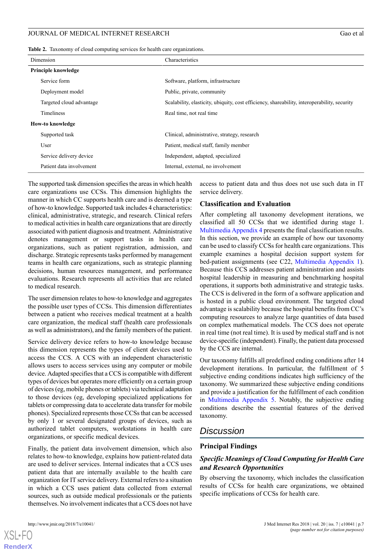<span id="page-6-0"></span>

|  |  |  | Table 2. Taxonomy of cloud computing services for health care organizations. |  |
|--|--|--|------------------------------------------------------------------------------|--|
|--|--|--|------------------------------------------------------------------------------|--|

| Dimension                  | Characteristics                                                                              |
|----------------------------|----------------------------------------------------------------------------------------------|
| <b>Principle knowledge</b> |                                                                                              |
| Service form               | Software, platform, infrastructure                                                           |
| Deployment model           | Public, private, community                                                                   |
| Targeted cloud advantage   | Scalability, elasticity, ubiquity, cost efficiency, shareability, interoperability, security |
| <b>Timeliness</b>          | Real time, not real time                                                                     |
| How-to knowledge           |                                                                                              |
| Supported task             | Clinical, administrative, strategy, research                                                 |
| User                       | Patient, medical staff, family member                                                        |
| Service delivery device    | Independent, adapted, specialized                                                            |
| Patient data involvement   | Internal, external, no involvement                                                           |

The supported task dimension specifies the areas in which health care organizations use CCSs. This dimension highlights the manner in which CC supports health care and is deemed a type of how-to knowledge. Supported task includes 4 characteristics: clinical, administrative, strategic, and research. Clinical refers to medical activities in health care organizations that are directly associated with patient diagnosis and treatment. Administrative denotes management or support tasks in health care organizations, such as patient registration, admission, and discharge. Strategic represents tasks performed by management teams in health care organizations, such as strategic planning decisions, human resources management, and performance evaluations. Research represents all activities that are related to medical research.

The user dimension relates to how-to knowledge and aggregates the possible user types of CCSs. This dimension differentiates between a patient who receives medical treatment at a health care organization, the medical staff (health care professionals as well as administrators), and the family members of the patient.

Service delivery device refers to how-to knowledge because this dimension represents the types of client devices used to access the CCS. A CCS with an independent characteristic allows users to access services using any computer or mobile device. Adapted specifies that a CCS is compatible with different types of devices but operates more efficiently on a certain group of devices (eg, mobile phones or tablets) via technical adaptation to those devices (eg, developing specialized applications for tablets or compressing data to accelerate data transfer for mobile phones). Specialized represents those CCSs that can be accessed by only 1 or several designated groups of devices, such as authorized tablet computers, workstations in health care organizations, or specific medical devices.

Finally, the patient data involvement dimension, which also relates to how-to knowledge, explains how patient-related data are used to deliver services. Internal indicates that a CCS uses patient data that are internally available to the health care organization for IT service delivery. External refers to a situation in which a CCS uses patient data collected from external sources, such as outside medical professionals or the patients themselves. No involvement indicates that a CCS does not have

 $XS$  • FC **[RenderX](http://www.renderx.com/)** access to patient data and thus does not use such data in IT service delivery.

### **Classification and Evaluation**

After completing all taxonomy development iterations, we classified all 50 CCSs that we identified during stage 1. [Multimedia Appendix 4](#page-12-13) presents the final classification results. In this section, we provide an example of how our taxonomy can be used to classify CCSs for health care organizations. This example examines a hospital decision support system for bed-patient assignments (see C22, [Multimedia Appendix 1\)](#page-11-0). Because this CCS addresses patient administration and assists hospital leadership in measuring and benchmarking hospital operations, it supports both administrative and strategic tasks. The CCS is delivered in the form of a software application and is hosted in a public cloud environment. The targeted cloud advantage is scalability because the hospital benefits from CC's computing resources to analyze large quantities of data based on complex mathematical models. The CCS does not operate in real time (not real time). It is used by medical staff and is not device-specific (independent). Finally, the patient data processed by the CCS are internal.

Our taxonomy fulfills all predefined ending conditions after 14 development iterations. In particular, the fulfillment of 5 subjective ending conditions indicates high sufficiency of the taxonomy. We summarized these subjective ending conditions and provide a justification for the fulfillment of each condition in [Multimedia Appendix 5.](#page-12-14) Notably, the subjective ending conditions describe the essential features of the derived taxonomy.

# *Discussion*

### **Principal Findings**

# *Specific Meanings of Cloud Computing for Health Care and Research Opportunities*

By observing the taxonomy, which includes the classification results of CCSs for health care organizations, we obtained specific implications of CCSs for health care.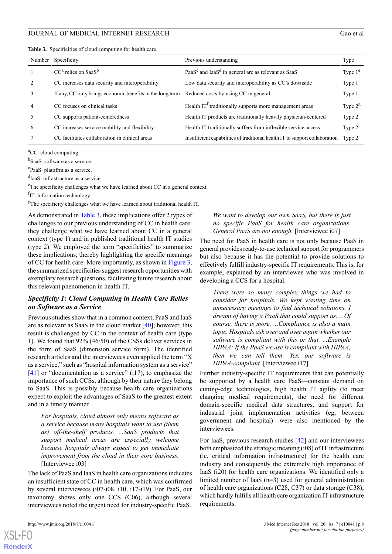<span id="page-7-0"></span>

|  | Table 3. Specificities of cloud computing for health care. |  |  |  |  |  |
|--|------------------------------------------------------------|--|--|--|--|--|
|--|------------------------------------------------------------|--|--|--|--|--|

| Number         | Specificity                                               | Previous understanding                                                      | Type      |
|----------------|-----------------------------------------------------------|-----------------------------------------------------------------------------|-----------|
|                | $CCa$ relies on Saa $Sb$                                  | PaaS <sup>c</sup> and IaaS <sup>d</sup> in general are as relevant as SaaS  | Type $1e$ |
| 2              | CC increases data security and interoperability           | Low data security and interoperability as CC's downside                     | Type 1    |
| 3              | If any, CC only brings economic benefits in the long term | Reduced costs by using CC in general                                        | Type 1    |
| $\overline{4}$ | CC focuses on clinical tasks                              | Health $ITt$ traditionally supports more management areas                   | Type $2g$ |
| 5              | CC supports patient-centeredness                          | Health IT products are traditionally heavily physician-centered             | Type 2    |
| 6              | CC increases service mobility and flexibility             | Health IT traditionally suffers from inflexible service access              | Type 2    |
| 7              | CC facilitates collaboration in clinical areas            | Insufficient capabilities of traditional health IT to support collaboration | Type 2    |

<sup>a</sup>CC: cloud computing.

<sup>b</sup>SaaS: software as a service.

c PaaS: platofrm as a service.

dIaaS: infrastructure as a service.

<sup>e</sup>The specificity challenges what we have learned about CC in a general context.

<sup>f</sup>IT: information technology.

 ${}^g$ The specificity challenges what we have learned about traditional health IT.

As demonstrated in [Table 3,](#page-7-0) these implications offer 2 types of challenges to our previous understanding of CC in health care: they challenge what we have learned about CC in a general context (type 1) and in published traditional health IT studies (type 2). We employed the term "specificities" to summarize these implications, thereby highlighting the specific meanings of CC for health care. More importantly, as shown in [Figure 3](#page-8-0), the summarized specificities suggest research opportunities with exemplary research questions, facilitating future research about this relevant phenomenon in health IT.

# *Specificity 1: Cloud Computing in Health Care Relies on Software as a Service*

Previous studies show that in a common context, PaaS and IaaS are as relevant as SaaS in the cloud market [[40\]](#page-13-21); however, this result is challenged by CC in the context of health care (type 1). We found that 92% (46/50) of the CSSs deliver services in the form of SaaS (dimension service form). The identified research articles and the interviewees even applied the term "X as a service," such as "hospital information system as a service" [[41\]](#page-13-22) or "documentation as a service" (i17), to emphasize the importance of such CCSs, although by their nature they belong to SaaS. This is possibly because health care organizations expect to exploit the advantages of SaaS to the greatest extent and in a timely manner.

*For hospitals, cloud almost only means software as a service because many hospitals want to use (them as) off-the-shelf products. ...SaaS products that support medical areas are especially welcome because hospitals always expect to get immediate improvement from the cloud in their core business.* [Interviewee i03]

The lack of PaaS and IaaS in health care organizations indicates an insufficient state of CC in health care, which was confirmed by several interviewees (i07-i08, i10, i17-i19). For PaaS, our taxonomy shows only one CCS (C06), although several interviewees noted the urgent need for industry-specific PaaS.

### *We want to develop our own SaaS, but there is just no specific PaaS for health care organizations. General PaaS are not enough.* [Interviewee i07]

The need for PaaS in health care is not only because PaaS in general provides ready-to-use technical support for programmers but also because it has the potential to provide solutions to effectively fulfill industry-specific IT requirements. This is, for example, explained by an interviewee who was involved in developing a CCS for a hospital.

*There were so many complex things we had to consider for hospitals. We kept wasting time on unnecessary meetings to find technical solutions. I dreamt of having a PaaS that could support us. ...Of course, there is more. ...Compliance is also a main topic. Hospitals ask over and over again whether our software is compliant with this or that. ...Example HIPAA: If the PaaS we use is compliant with HIPAA, then we can tell them: Yes, our software is HIPAA-compliant.* [Interviewee i17]

Further industry-specific IT requirements that can potentially be supported by a health care PaaS—constant demand on cutting-edge technologies, high health IT agility (to meet changing medical requirements), the need for different domain-specific medical data structures, and support for industrial joint implementation activities (eg, between government and hospital)—were also mentioned by the interviewees.

For IaaS, previous research studies [[42\]](#page-13-23) and our interviewees both emphasized the strategic meaning (i08) of IT infrastructure (ie, critical information infrastructure) for the health care industry and consequently the extremely high importance of IaaS (i20) for health care organizations. We identified only a limited number of IaaS (n=3) used for general administration of health care organizations (C28, C37) or data storage (C38), which hardly fulfills all health care organization IT infrastructure requirements.

```
XSL•FO
RenderX
```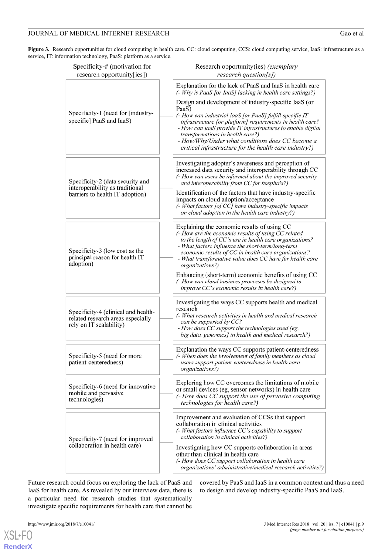<span id="page-8-0"></span>Figure 3. Research opportunities for cloud computing in health care. CC: cloud computing, CCS: cloud computing service, IaaS: infrastructure as a service, IT: information technology, PaaS: platform as a service.

| Specificity-# (motivation for<br>research opportunity[ies])                                         | Research opportunity(ies) (exemplary<br>research question[s])                                                                                                                                                                                                                                                                                             |
|-----------------------------------------------------------------------------------------------------|-----------------------------------------------------------------------------------------------------------------------------------------------------------------------------------------------------------------------------------------------------------------------------------------------------------------------------------------------------------|
|                                                                                                     | Explanation for the lack of PaaS and IaaS in health care<br>(- Why is PaaS [or IaaS] lacking in health care settings?)                                                                                                                                                                                                                                    |
|                                                                                                     | Design and development of industry-specific IaaS (or<br>PaaS)                                                                                                                                                                                                                                                                                             |
| Specificity-1 (need for [industry-<br>specific] PaaS and IaaS)                                      | (- How can industrial IaaS [or PaaS] fulfill specific IT<br>infrastructure [or platform] requirements in health care?<br>- How can IaaS provide IT infrastructures to enable digital<br>transformations in health care?)<br>- How/Why/Under what conditions does CC become a<br>critical infrastructure for the health care industry?)                    |
| Specificity-2 (data security and<br>interoperability as traditional                                 | Investigating adopter's awareness and perception of<br>increased data security and interoperability through CC<br>(- How can users be informed about the improved security<br>and interoperability from CC for hospitals?)                                                                                                                                |
| barriers to health IT adoption)                                                                     | Identification of the factors that have industry-specific<br>impacts on cloud adoption/acceptance<br>$\left(-$ What factors [of CC] have industry-specific impacts<br>on cloud adoption in the health care industry?)                                                                                                                                     |
| Specificity-3 (low cost as the<br>principal reason for health IT<br>adoption)                       | Explaining the economic results of using CC<br>(- How are the economic results of using CC related<br>to the length of CC's use in health care organizations?<br>- What factors influence the short-term/long-term<br>economic results of CC in health care organizations?<br>- What transformative value does CC have for health care<br>organizations?) |
|                                                                                                     | Enhancing (short-term) economic benefits of using CC<br>(- How can cloud business processes be designed to<br>improve CC's economic results in health care?)                                                                                                                                                                                              |
| Specificity-4 (clinical and health-<br>related research areas especially<br>rely on IT scalability) | Investigating the ways CC supports health and medical<br>research<br>(- What research activities in health and medical research<br>can be supported by CC?<br>- How does CC support the technologies used [eg,<br>big data, genomics] in health and medical research?)                                                                                    |
| Specificity-5 (need for more<br>patient-centeredness)                                               | Explanation the ways CC supports patient-centeredness<br>(- When does the involvement of family members as cloud<br>users support patient-centeredness in health care<br>organizations?)                                                                                                                                                                  |
| Specificity-6 (need for innovative<br>mobile and pervasive<br>technologies)                         | Exploring how CC overcomes the limitations of mobile<br>or small devices (eg, sensor networks) in health care<br>(- How does CC support the use of pervasive computing<br>technologies for health care?)                                                                                                                                                  |
| Specificity-7 (need for improved                                                                    | Improvement and evaluation of CCSs that support<br>collaboration in clinical activities<br>(- What factors influence CC's capability to support<br>collaboration in clinical activities?)                                                                                                                                                                 |
| collaboration in health care)                                                                       | Investigating how CC supports collaboration in areas<br>other than clinical in health care<br>(- How does CC support collaboration in health care<br>organizations' administrative/medical research activities?)                                                                                                                                          |

Future research could focus on exploring the lack of PaaS and IaaS for health care. As revealed by our interview data, there is a particular need for research studies that systematically investigate specific requirements for health care that cannot be

covered by PaaS and IaaS in a common context and thus a need to design and develop industry-specific PaaS and IaaS.

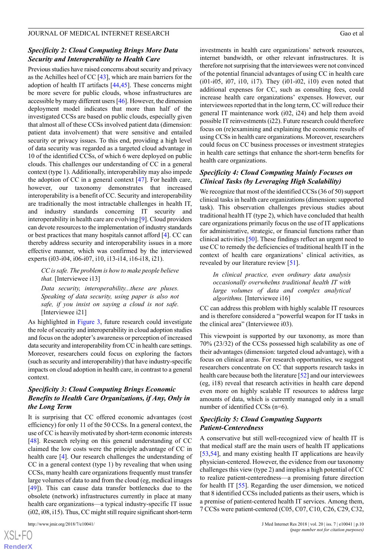# *Specificity 2: Cloud Computing Brings More Data Security and Interoperability to Health Care*

Previous studies have raised concerns about security and privacy as the Achilles heel of CC [\[43](#page-14-0)], which are main barriers for the adoption of health IT artifacts [\[44](#page-14-1),[45\]](#page-14-2). These concerns might be more severe for public clouds, whose infrastructures are accessible by many different users [[46\]](#page-14-3). However, the dimension deployment model indicates that more than half of the investigated CCSs are based on public clouds, especially given that almost all of these CCSs involved patient data (dimension: patient data involvement) that were sensitive and entailed security or privacy issues. To this end, providing a high level of data security was regarded as a targeted cloud advantage in 10 of the identified CCSs, of which 6 were deployed on public clouds. This challenges our understanding of CC in a general context (type 1). Additionally, interoperability may also impede the adoption of CC in a general context [[47\]](#page-14-4). For health care, however, our taxonomy demonstrates that increased interoperability is a benefit of CC. Security and interoperability are traditionally the most intractable challenges in health IT, and industry standards concerning IT security and interoperability in health care are evolving [[9\]](#page-12-8). Cloud providers can devote resources to the implementation of industry standards or best practices that many hospitals cannot afford [[4\]](#page-12-3). CC can thereby address security and interoperability issues in a more effective manner, which was confirmed by the interviewed experts (i03-i04, i06-i07, i10, i13-i14, i16-i18, i21).

*CC is safe. The problem is how to make people believe that.* [Interviewee i13]

*Data security, interoperability...these are pluses. Speaking of data security, using paper is also not safe, if you insist on saying a cloud is not safe.* [Interviewee i21]

As highlighted in [Figure 3](#page-8-0), future research could investigate the role of security and interoperability in cloud adoption studies and focus on the adopter's awareness or perception of increased data security and interoperability from CC in health care settings. Moreover, researchers could focus on exploring the factors (such as security and interoperability) that have industry-specific impacts on cloud adoption in health care, in contrast to a general context.

# *Specificity 3: Cloud Computing Brings Economic Benefits to Health Care Organizations, if Any, Only in the Long Term*

It is surprising that CC offered economic advantages (cost efficiency) for only 11 of the 50 CCSs. In a general context, the use of CC is heavily motivated by short-term economic interests [[48\]](#page-14-5). Research relying on this general understanding of CC claimed the low costs were the principle advantage of CC in health care [\[4](#page-12-3)]. Our research challenges the understanding of CC in a general context (type 1) by revealing that when using CCSs, many health care organizations frequently must transfer large volumes of data to and from the cloud (eg, medical images [[49\]](#page-14-6)). This can cause data transfer bottlenecks due to the obsolete (network) infrastructures currently in place at many health care organizations—a typical industry-specific IT issue (i02, i08, i15). Thus, CC might still require significant short-term

investments in health care organizations' network resources, internet bandwidth, or other relevant infrastructures. It is therefore not surprising that the interviewees were not convinced of the potential financial advantages of using CC in health care (i01-i05, i07, i10, i17). They (i01-i02, i10) even noted that additional expenses for CC, such as consulting fees, could increase health care organizations' expenses. However, our interviewees reported that in the long term, CC will reduce their general IT maintenance work (i02, i24) and help them avoid possible IT reinvestments (i22). Future research could therefore focus on (re)examining and explaining the economic results of using CCSs in health care organizations. Moreover, researchers could focus on CC business processes or investment strategies in health care settings that enhance the short-term benefits for health care organizations.

# *Specificity 4: Cloud Computing Mainly Focuses on Clinical Tasks (by Leveraging High Scalability)*

We recognize that most of the identified CCSs (36 of 50) support clinical tasks in health care organizations (dimension: supported task). This observation challenges previous studies about traditional health IT (type 2), which have concluded that health care organizations primarily focus on the use of IT applications for administrative, strategic, or financial functions rather than clinical activities [\[50](#page-14-7)]. These findings reflect an urgent need to use CC to remedy the deficiencies of traditional health IT in the context of health care organizations' clinical activities, as revealed by our literature review [[51\]](#page-14-8).

*In clinical practice, even ordinary data analysis occasionally overwhelms traditional health IT with large volumes of data and complex analytical algorithms.* [Interviewee i16]

CC can address this problem with highly scalable IT resources and is therefore considered a "powerful weapon for IT tasks in the clinical area" (Interviewee i03).

This viewpoint is supported by our taxonomy, as more than 70% (23/32) of the CCSs possessed high scalability as one of their advantages (dimension: targeted cloud advantage), with a focus on clinical areas. For research opportunities, we suggest researchers concentrate on CC that supports research tasks in health care because both the literature [\[52](#page-14-9)] and our interviewees (eg, i18) reveal that research activities in health care depend even more on highly scalable IT resources to address large amounts of data, which is currently managed only in a small number of identified CCSs (n=6).

# *Specificity 5: Cloud Computing Supports Patient-Centeredness*

A conservative but still well-recognized view of health IT is that medical staff are the main users of health IT applications [[53,](#page-14-10)[54\]](#page-14-11), and many existing health IT applications are heavily physician-centered. However, the evidence from our taxonomy challenges this view (type 2) and implies a high potential of CC to realize patient-centeredness—a promising future direction for health IT [\[55](#page-14-12)]. Regarding the user dimension, we noticed that 8 identified CCSs included patients as their users, which is a premise of patient-centered health IT services. Among them, 7 CCSs were patient-centered (C05, C07, C10, C26, C29, C32,

```
XSL•FO
RenderX
```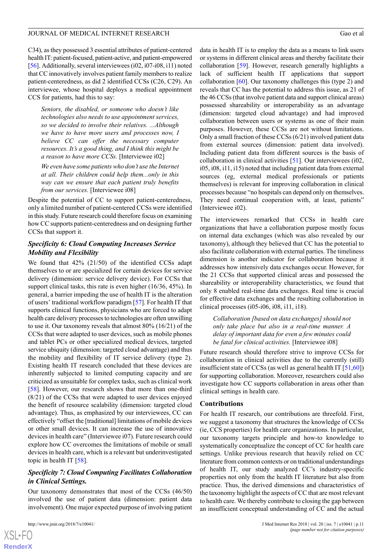C34), as they possessed 3 essential attributes of patient-centered health IT: patient-focused, patient-active, and patient-empowered [[56\]](#page-14-13). Additionally, several interviewees (i02, i07-i08, i11) noted that CC innovatively involves patient family members to realize patient-centeredness, as did 2 identified CCSs (C26, C29). An interviewee, whose hospital deploys a medical appointment CCS for patients, had this to say:

*Seniors, the disabled, or someone who doesn't like technologies also needs to use appointment services, so we decided to involve their relatives. ...Although we have to have more users and processes now, I believe CC can offer the necessary computer resources. It's a good thing, and I think this might be a reason to have more CCSs.* [Interviewee i02]

*We even have some patients who don't use the Internet at all. Their children could help them...only in this way can we ensure that each patient truly benefits from our services.* [Interviewee i08]

Despite the potential of CC to support patient-centeredness, only a limited number of patient-centered CCSs were identified in this study. Future research could therefore focus on examining how CC supports patient-centeredness and on designing further CCSs that support it.

# *Specificity 6: Cloud Computing Increases Service Mobility and Flexibility*

We found that 42% (21/50) of the identified CCSs adapt themselves to or are specialized for certain devices for service delivery (dimension: service delivery device). For CCSs that support clinical tasks, this rate is even higher (16/36, 45%). In general, a barrier impeding the use of health IT is the alteration of users' traditional workflow paradigm [\[57](#page-14-14)]. For health IT that supports clinical functions, physicians who are forced to adapt health care delivery processes to technologies are often unwilling to use it. Our taxonomy reveals that almost 80% (16/21) of the CCSs that were adapted to user devices, such as mobile phones and tablet PCs or other specialized medical devices, targeted service ubiquity (dimension: targeted cloud advantage) and thus the mobility and flexibility of IT service delivery (type 2). Existing health IT research concluded that these devices are inherently subjected to limited computing capacity and are criticized as unsuitable for complex tasks, such as clinical work [[58\]](#page-14-15). However, our research shows that more than one-third (8/21) of the CCSs that were adapted to user devices enjoyed the benefit of resource scalability (dimension: targeted cloud advantage). Thus, as emphasized by our interviewees, CC can effectively "offset the [traditional] limitations of mobile devices or other small devices. It can increase the use of innovative devices in health care" (Interviewee i07). Future research could explore how CC overcomes the limitations of mobile or small devices in health care, which is a relevant but underinvestigated topic in health IT [\[58](#page-14-15)].

# *Specificity 7: Cloud Computing Facilitates Collaboration in Clinical Settings.*

Our taxonomy demonstrates that most of the CCSs (46/50) involved the use of patient data (dimension: patient data involvement). One major expected purpose of involving patient

 $XS$ -FO **[RenderX](http://www.renderx.com/)** data in health IT is to employ the data as a means to link users or systems in different clinical areas and thereby facilitate their collaboration [[59\]](#page-14-16). However, research generally highlights a lack of sufficient health IT applications that support collaboration [\[60](#page-14-17)]. Our taxonomy challenges this (type 2) and reveals that CC has the potential to address this issue, as 21 of the 46 CCSs (that involve patient data and support clinical areas) possessed shareability or interoperability as an advantage (dimension: targeted cloud advantage) and had improved collaboration between users or systems as one of their main purposes. However, these CCSs are not without limitations. Only a small fraction of these CCSs (6/21) involved patient data from external sources (dimension: patient data involved). Including patient data from different sources is the basis of collaboration in clinical activities [[51\]](#page-14-8). Our interviewees (i02, i05, i08, i11, i15) noted that including patient data from external sources (eg, external medical professionals or patients themselves) is relevant for improving collaboration in clinical processes because "no hospitals can depend only on themselves. They need continual cooperation with, at least, patients" (Interviewee i02).

The interviewees remarked that CCSs in health care organizations that have a collaboration purpose mostly focus on internal data exchanges (which was also revealed by our taxonomy), although they believed that CC has the potential to also facilitate collaboration with external parties. The timeliness dimension is another indicator for collaboration because it addresses how intensively data exchanges occur. However, for the 21 CCSs that supported clinical areas and possessed the shareability or interoperability characteristics, we found that only 8 enabled real-time data exchanges. Real time is crucial for effective data exchanges and the resulting collaboration in clinical processes (i05-i06, i08, i11, i18).

*Collaboration [based on data exchanges] should not only take place but also in a real-time manner. A delay of important data for even a few minutes could be fatal for clinical activities.* [Interviewee i08]

Future research should therefore strive to improve CCSs for collaboration in clinical activities due to the currently (still) insufficient state of CCSs (as well as general health IT [[51,](#page-14-8)[60](#page-14-17)]) for supporting collaboration. Moreover, researchers could also investigate how CC supports collaboration in areas other than clinical settings in health care.

### **Contributions**

For health IT research, our contributions are threefold. First, we suggest a taxonomy that structures the knowledge of CCSs (ie, CCS properties) for health care organizations. In particular, our taxonomy targets principle and how-to knowledge to systematically conceptualize the concept of CC for health care settings. Unlike previous research that heavily relied on CC literature from common contexts or on traditional understandings of health IT, our study analyzed CC's industry-specific properties not only from the health IT literature but also from practice. Thus, the derived dimensions and characteristics of the taxonomy highlight the aspects of CC that are most relevant to health care. We thereby contribute to closing the gap between an insufficient conceptual understanding of CC and the actual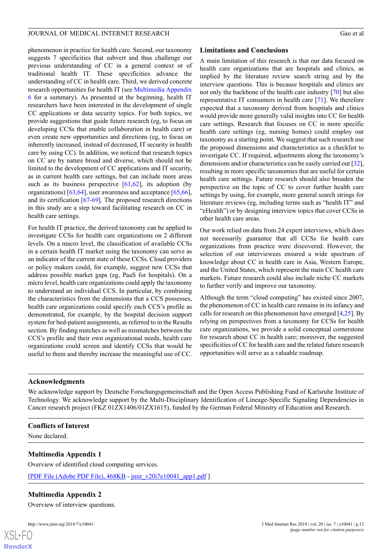phenomenon in practice for health care. Second, our taxonomy suggests 7 specificities that subvert and thus challenge our previous understanding of CC in a general context or of traditional health IT. These specificities advance the understanding of CC in health care. Third, we derived concrete research opportunities for health IT (see [Multimedia Appendix](#page-12-15) [6](#page-12-15) for a summary). As presented at the beginning, health IT researchers have been interested in the development of single CC applications or data security topics. For both topics, we provide suggestions that guide future research (eg, to focus on developing CCSs that enable collaboration in health care) or even create new opportunities and directions (eg, to focus on inherently increased, instead of decreased, IT security in health care by using CC). In addition, we noticed that research topics on CC are by nature broad and diverse, which should not be limited to the development of CC applications and IT security, as in current health care settings, but can include more areas such as its business perspective  $[61,62]$  $[61,62]$  $[61,62]$ , its adoption (by organizations) [[63,](#page-14-20)[64\]](#page-14-21), user awareness and acceptance [\[65](#page-14-22),[66\]](#page-14-23), and its certification [\[67](#page-14-24)-[69\]](#page-14-25). The proposed research directions in this study are a step toward facilitating research on CC in health care settings.

For health IT practice, the derived taxonomy can be applied to investigate CCSs for health care organizations on 2 different levels. On a macro level, the classification of available CCSs in a certain health IT market using the taxonomy can serve as an indicator of the current state of these CCSs. Cloud providers or policy makers could, for example, suggest new CCSs that address possible market gaps (eg, PaaS for hospitals). On a micro level, health care organizations could apply the taxonomy to understand an individual CCS. In particular, by combining the characteristics from the dimensions that a CCS possesses, health care organizations could specify each CCS's profile as demonstrated, for example, by the hospital decision support system for bed-patient assignments, as referred to in the Results section. By finding matches as well as mismatches between the CCS's profile and their own organizational needs, health care organizations could screen and identify CCSs that would be useful to them and thereby increase the meaningful use of CC.

# **Limitations and Conclusions**

A main limitation of this research is that our data focused on health care organizations that are hospitals and clinics, as implied by the literature review search string and by the interview questions. This is because hospitals and clinics are not only the backbone of the health care industry [\[70](#page-15-0)] but also representative IT consumers in health care [[71\]](#page-15-1). We therefore expected that a taxonomy derived from hospitals and clinics would provide more generally valid insights into CC for health care settings. Research that focuses on CC in more specific health care settings (eg, nursing homes) could employ our taxonomy as a starting point. We suggest that such research use the proposed dimensions and characteristics as a checklist to investigate CC. If required, adjustments along the taxonomy's dimensions and/or characteristics can be easily carried out [\[32\]](#page-13-13), resulting in more specific taxonomies that are useful for certain health care settings. Future research should also broaden the perspective on the topic of CC to cover further health care settings by using, for example, more general search strings for literature reviews (eg, including terms such as "health IT" and "eHealth") or by designing interview topics that cover CCSs in other health care areas.

Our work relied on data from 24 expert interviews, which does not necessarily guarantee that all CCSs for health care organizations from practice were discovered. However, the selection of our interviewees ensured a wide spectrum of knowledge about CC in health care in Asia, Western Europe, and the United States, which represent the main CC health care markets. Future research could also include niche CC markets to further verify and improve our taxonomy.

Although the term "cloud computing" has existed since 2007, the phenomenon of CC in health care remains in its infancy and calls for research on this phenomenon have emerged  $[4,25]$  $[4,25]$  $[4,25]$  $[4,25]$ . By relying on perspectives from a taxonomy for CCSs for health care organizations, we provide a solid conceptual cornerstone for research about CC in health care; moreover, the suggested specificities of CC for health care and the related future research opportunities will serve as a valuable roadmap.

# **Acknowledgments**

<span id="page-11-0"></span>We acknowledge support by Deutsche Forschungsgemeinschaft and the Open Access Publishing Fund of Karlsruhe Institute of Technology. We acknowledge support by the Multi-Disciplinary Identification of Lineage-Specific Signaling Dependencies in Cancer research project (FKZ 01ZX1406/01ZX1615), funded by the German Federal Ministry of Education and Research.

### **Conflicts of Interest**

<span id="page-11-1"></span>None declared.

# **Multimedia Appendix 1**

Overview of identified cloud computing services.

[[PDF File \(Adobe PDF File\), 468KB](http://www.jmir.org/article/downloadSuppFile/10041/80223) - [jmir\\_v20i7e10041\\_app1.pdf](http://www.jmir.org/article/downloadSuppFile/10041/80223) ]

### **Multimedia Appendix 2**

Overview of interview questions.

 $XS$  $\cdot$ FC **[RenderX](http://www.renderx.com/)**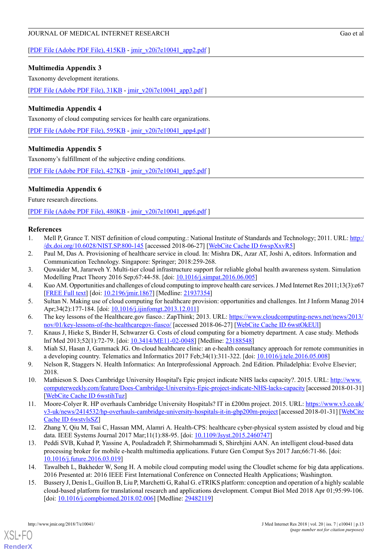[[PDF File \(Adobe PDF File\), 415KB](http://www.jmir.org/article/downloadSuppFile/10041/68940) - [jmir\\_v20i7e10041\\_app2.pdf](http://www.jmir.org/article/downloadSuppFile/10041/68940) ]

# <span id="page-12-12"></span>**Multimedia Appendix 3**

Taxonomy development iterations.

<span id="page-12-13"></span>[[PDF File \(Adobe PDF File\), 31KB](http://www.jmir.org/article/downloadSuppFile/10041/68942) - [jmir\\_v20i7e10041\\_app3.pdf](http://www.jmir.org/article/downloadSuppFile/10041/68942) ]

# **Multimedia Appendix 4**

Taxonomy of cloud computing services for health care organizations.

<span id="page-12-14"></span>[[PDF File \(Adobe PDF File\), 595KB](http://www.jmir.org/article/downloadSuppFile/10041/68944) - [jmir\\_v20i7e10041\\_app4.pdf](http://www.jmir.org/article/downloadSuppFile/10041/68944) ]

# **Multimedia Appendix 5**

Taxonomy's fulfillment of the subjective ending conditions.

<span id="page-12-15"></span>[[PDF File \(Adobe PDF File\), 427KB](http://www.jmir.org/article/downloadSuppFile/10041/68945) - [jmir\\_v20i7e10041\\_app5.pdf](http://www.jmir.org/article/downloadSuppFile/10041/68945) ]

# **Multimedia Appendix 6**

Future research directions.

<span id="page-12-0"></span>[[PDF File \(Adobe PDF File\), 480KB](http://www.jmir.org/article/downloadSuppFile/10041/75464) - [jmir\\_v20i7e10041\\_app6.pdf](http://www.jmir.org/article/downloadSuppFile/10041/75464) ]

# <span id="page-12-1"></span>**References**

- <span id="page-12-2"></span>1. Mell P, Grance T. NIST definition of cloud computing.: National Institute of Standards and Technology; 2011. URL: [http:/](http://dx.doi.org/10.6028/NIST.SP.800-145) [/dx.doi.org/10.6028/NIST.SP.800-145](http://dx.doi.org/10.6028/NIST.SP.800-145) [accessed 2018-06-27] [\[WebCite Cache ID 6wspXxvR5\]](http://www.webcitation.org/6wspXxvR5)
- <span id="page-12-3"></span>2. Paul M, Das A. Provisioning of healthcare service in cloud. In: Mishra DK, Azar AT, Joshi A, editors. Information and Communication Technology. Singapore: Springer; 2018:259-268.
- <span id="page-12-4"></span>3. Quwaider M, Jararweh Y. Multi-tier cloud infrastructure support for reliable global health awareness system. Simulation Modelling Pract Theory 2016 Sep;67:44-58. [doi: [10.1016/j.simpat.2016.06.005](http://dx.doi.org/10.1016/j.simpat.2016.06.005)]
- <span id="page-12-5"></span>4. Kuo AM. Opportunities and challenges of cloud computing to improve health care services. J Med Internet Res 2011;13(3):e67 [[FREE Full text](http://www.jmir.org/2011/3/e67/)] [doi: [10.2196/jmir.1867](http://dx.doi.org/10.2196/jmir.1867)] [Medline: [21937354](http://www.ncbi.nlm.nih.gov/entrez/query.fcgi?cmd=Retrieve&db=PubMed&list_uids=21937354&dopt=Abstract)]
- <span id="page-12-6"></span>5. Sultan N. Making use of cloud computing for healthcare provision: opportunities and challenges. Int J Inform Manag 2014 Apr;34(2):177-184. [doi: [10.1016/j.ijinfomgt.2013.12.011\]](http://dx.doi.org/10.1016/j.ijinfomgt.2013.12.011)
- <span id="page-12-7"></span>6. The key lessons of the Healthcare.gov fiasco.: ZapThink; 2013. URL: [https://www.cloudcomputing-news.net/news/2013/](https://www.cloudcomputing-news.net/news/2013/nov/01/key-lessons-of-the-healthcaregov-fiasco/) [nov/01/key-lessons-of-the-healthcaregov-fiasco/](https://www.cloudcomputing-news.net/news/2013/nov/01/key-lessons-of-the-healthcaregov-fiasco/) [accessed 2018-06-27] [\[WebCite Cache ID 6wstOkEUl](http://www.webcitation.org/6wstOkEUl)]
- <span id="page-12-8"></span>7. Knaus J, Hieke S, Binder H, Schwarzer G. Costs of cloud computing for a biometry department. A case study. Methods Inf Med 2013;52(1):72-79. [doi: [10.3414/ME11-02-0048\]](http://dx.doi.org/10.3414/ME11-02-0048) [Medline: [23188548\]](http://www.ncbi.nlm.nih.gov/entrez/query.fcgi?cmd=Retrieve&db=PubMed&list_uids=23188548&dopt=Abstract)
- <span id="page-12-9"></span>8. Miah SJ, Hasan J, Gammack JG. On-cloud healthcare clinic: an e-health consultancy approach for remote communities in a developing country. Telematics and Informatics 2017 Feb;34(1):311-322. [doi: [10.1016/j.tele.2016.05.008\]](http://dx.doi.org/10.1016/j.tele.2016.05.008)
- <span id="page-12-10"></span>9. Nelson R, Staggers N. Health Informatics: An Interprofessional Approach. 2nd Edition. Philadelphia: Evolve Elsevier; 2018.
- <span id="page-12-11"></span>10. Mathieson S. Does Cambridge University Hospital's Epic project indicate NHS lacks capacity?. 2015. URL: [http://www.](http://www.computerweekly.com/feature/Does-Cambridge-Universitys-Epic-project-indicate-NHS-lacks-capacity) [computerweekly.com/feature/Does-Cambridge-Universitys-Epic-project-indicate-NHS-lacks-capacity](http://www.computerweekly.com/feature/Does-Cambridge-Universitys-Epic-project-indicate-NHS-lacks-capacity) [accessed 2018-01-31] [[WebCite Cache ID 6wstihTuz](http://www.webcitation.org/6wstihTuz)]
- 11. Moore-Colyer R. HP overhauls Cambridge University Hospitals? IT in £200m project. 2015. URL: [https://www.v3.co.uk/](https://www.v3.co.uk/v3-uk/news/2414532/hp-overhauls-cambridge-university-hospitals-it-in-gbp200m-project) [v3-uk/news/2414532/hp-overhauls-cambridge-university-hospitals-it-in-gbp200m-project](https://www.v3.co.uk/v3-uk/news/2414532/hp-overhauls-cambridge-university-hospitals-it-in-gbp200m-project) [accessed 2018-01-31] [\[WebCite](http://www.webcitation.org/6wstvlsSZ) [Cache ID 6wstvlsSZ](http://www.webcitation.org/6wstvlsSZ)]
- 12. Zhang Y, Qiu M, Tsai C, Hassan MM, Alamri A. Health-CPS: healthcare cyber-physical system assisted by cloud and big data. IEEE Systems Journal 2017 Mar;11(1):88-95. [doi: [10.1109/Jsyst.2015.2460747](http://dx.doi.org/10.1109/Jsyst.2015.2460747)]
- 13. Peddi SVB, Kuhad P, Yassine A, Pouladzadeh P, Shirmohammadi S, Shirehjini AAN. An intelligent cloud-based data processing broker for mobile e-health multimedia applications. Future Gen Comput Sys 2017 Jan;66:71-86. [doi: [10.1016/j.future.2016.03.019](http://dx.doi.org/10.1016/j.future.2016.03.019)]
- 14. Tawalbeh L, Bakheder W, Song H. A mobile cloud computing model using the Cloudlet scheme for big data applications. 2016 Presented at: 2016 IEEE First International Conference on Connected Health Applications; Washington.
- 15. Bussery J, Denis L, Guillon B, Liu P, Marchetti G, Rahal G. eTRIKS platform: conception and operation of a highly scalable cloud-based platform for translational research and applications development. Comput Biol Med 2018 Apr 01;95:99-106. [doi: [10.1016/j.compbiomed.2018.02.006](http://dx.doi.org/10.1016/j.compbiomed.2018.02.006)] [Medline: [29482119](http://www.ncbi.nlm.nih.gov/entrez/query.fcgi?cmd=Retrieve&db=PubMed&list_uids=29482119&dopt=Abstract)]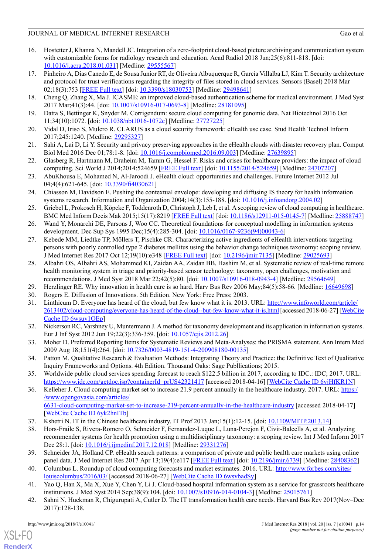- <span id="page-13-0"></span>16. Hostetter J, Khanna N, Mandell JC. Integration of a zero-footprint cloud-based picture archiving and communication system with customizable forms for radiology research and education. Acad Radiol 2018 Jun;25(6):811-818. [doi: [10.1016/j.acra.2018.01.031](http://dx.doi.org/10.1016/j.acra.2018.01.031)] [Medline: [29555567\]](http://www.ncbi.nlm.nih.gov/entrez/query.fcgi?cmd=Retrieve&db=PubMed&list_uids=29555567&dopt=Abstract)
- <span id="page-13-1"></span>17. Pinheiro A, Dias Canedo E, de Sousa Junior RT, de Oliveira Albuquerque R, García Villalba LJ, Kim T. Security architecture and protocol for trust verifications regarding the integrity of files stored in cloud services. Sensors (Basel) 2018 Mar 02;18(3):753 [[FREE Full text](http://www.mdpi.com/resolver?pii=s18030753)] [doi: [10.3390/s18030753](http://dx.doi.org/10.3390/s18030753)] [Medline: [29498641](http://www.ncbi.nlm.nih.gov/entrez/query.fcgi?cmd=Retrieve&db=PubMed&list_uids=29498641&dopt=Abstract)]
- 18. Cheng Q, Zhang X, Ma J. ICASME: an improved cloud-based authentication scheme for medical environment. J Med Syst 2017 Mar;41(3):44. [doi: [10.1007/s10916-017-0693-8](http://dx.doi.org/10.1007/s10916-017-0693-8)] [Medline: [28181095](http://www.ncbi.nlm.nih.gov/entrez/query.fcgi?cmd=Retrieve&db=PubMed&list_uids=28181095&dopt=Abstract)]
- 19. Datta S, Bettinger K, Snyder M. Corrigendum: secure cloud computing for genomic data. Nat Biotechnol 2016 Oct 11;34(10):1072. [doi: [10.1038/nbt1016-1072c](http://dx.doi.org/10.1038/nbt1016-1072c)] [Medline: [27727225](http://www.ncbi.nlm.nih.gov/entrez/query.fcgi?cmd=Retrieve&db=PubMed&list_uids=27727225&dopt=Abstract)]
- <span id="page-13-2"></span>20. Vidal D, Iriso S, Mulero R. CLARUS as a cloud security framework: eHealth use case. Stud Health Technol Inform 2017;245:1240. [Medline: [29295327\]](http://www.ncbi.nlm.nih.gov/entrez/query.fcgi?cmd=Retrieve&db=PubMed&list_uids=29295327&dopt=Abstract)
- <span id="page-13-3"></span>21. Sahi A, Lai D, Li Y. Security and privacy preserving approaches in the eHealth clouds with disaster recovery plan. Comput Biol Med 2016 Dec 01;78:1-8. [doi: [10.1016/j.compbiomed.2016.09.003\]](http://dx.doi.org/10.1016/j.compbiomed.2016.09.003) [Medline: [27639895](http://www.ncbi.nlm.nih.gov/entrez/query.fcgi?cmd=Retrieve&db=PubMed&list_uids=27639895&dopt=Abstract)]
- <span id="page-13-4"></span>22. Glasberg R, Hartmann M, Draheim M, Tamm G, Hessel F. Risks and crises for healthcare providers: the impact of cloud computing. Sci World J 2014;2014:524659 [\[FREE Full text](https://dx.doi.org/10.1155/2014/524659)] [doi: [10.1155/2014/524659\]](http://dx.doi.org/10.1155/2014/524659) [Medline: [24707207\]](http://www.ncbi.nlm.nih.gov/entrez/query.fcgi?cmd=Retrieve&db=PubMed&list_uids=24707207&dopt=Abstract)
- <span id="page-13-5"></span>23. AbuKhousa E, Mohamed N, Al-Jaroodi J. eHealth cloud: opportunities and challenges. Future Internet 2012 Jul 04;4(4):621-645. [doi: [10.3390/fi4030621\]](http://dx.doi.org/10.3390/fi4030621)
- <span id="page-13-6"></span>24. Chiasson M, Davidson E. Pushing the contextual envelope: developing and diffusing IS theory for health information systems research. Information and Organization 2004;14(3):155-188. [doi: [10.1016/j.infoandorg.2004.02\]](http://dx.doi.org/10.1016/j.infoandorg.2004.02)
- <span id="page-13-8"></span><span id="page-13-7"></span>25. Griebel L, Prokosch H, Köpcke F, Toddenroth D, Christoph J, Leb I, et al. A scoping review of cloud computing in healthcare. BMC Med Inform Decis Mak 2015;15(17):8219 [[FREE Full text](http://bmcmedinformdecismak.biomedcentral.com/articles/10.1186/s12911-015-0145-7)] [doi: [10.1186/s12911-015-0145-7\]](http://dx.doi.org/10.1186/s12911-015-0145-7) [Medline: [25888747](http://www.ncbi.nlm.nih.gov/entrez/query.fcgi?cmd=Retrieve&db=PubMed&list_uids=25888747&dopt=Abstract)]
- 26. Wand Y, Monarchi DE, Parsons J, Woo CC. Theoretical foundations for conceptual modelling in information systems development. Dec Sup Sys 1995 Dec;15(4):285-304. [doi: [10.1016/0167-9236\(94\)00043-6\]](http://dx.doi.org/10.1016/0167-9236(94)00043-6)
- <span id="page-13-9"></span>27. Kebede MM, Liedtke TP, Möllers T, Pischke CR. Characterizing active ingredients of eHealth interventions targeting persons with poorly controlled type 2 diabetes mellitus using the behavior change techniques taxonomy: scoping review. J Med Internet Res 2017 Oct 12;19(10):e348 [[FREE Full text](http://www.jmir.org/2017/10/e348/)] [doi: [10.2196/jmir.7135](http://dx.doi.org/10.2196/jmir.7135)] [Medline: [29025693\]](http://www.ncbi.nlm.nih.gov/entrez/query.fcgi?cmd=Retrieve&db=PubMed&list_uids=29025693&dopt=Abstract)
- <span id="page-13-12"></span><span id="page-13-11"></span><span id="page-13-10"></span>28. Albahri OS, Albahri AS, Mohammed KI, Zaidan AA, Zaidan BB, Hashim M, et al. Systematic review of real-time remote health monitoring system in triage and priority-based sensor technology: taxonomy, open challenges, motivation and recommendations. J Med Syst 2018 Mar 22;42(5):80. [doi: [10.1007/s10916-018-0943-4\]](http://dx.doi.org/10.1007/s10916-018-0943-4) [Medline: [29564649\]](http://www.ncbi.nlm.nih.gov/entrez/query.fcgi?cmd=Retrieve&db=PubMed&list_uids=29564649&dopt=Abstract)
- 29. Herzlinger RE. Why innovation in health care is so hard. Harv Bus Rev 2006 May;84(5):58-66. [Medline: [16649698\]](http://www.ncbi.nlm.nih.gov/entrez/query.fcgi?cmd=Retrieve&db=PubMed&list_uids=16649698&dopt=Abstract)
- <span id="page-13-13"></span>30. Rogers E. Diffusion of Innovations. 5th Edition. New York: Free Press; 2003.
- <span id="page-13-14"></span>31. Linthicum D. Everyone has heard of the cloud, but few know what it is. 2013. URL: [http://www.infoworld.com/article/](http://www.infoworld.com/article/2613402/cloud-computing/everyone-has-heard-of-the-cloud--but-few-know-what-it-is.html) [2613402/cloud-computing/everyone-has-heard-of-the-cloud--but-few-know-what-it-is.html](http://www.infoworld.com/article/2613402/cloud-computing/everyone-has-heard-of-the-cloud--but-few-know-what-it-is.html) [accessed 2018-06-27] [[WebCite](http://www.webcitation.org/6wsuv1OEp) [Cache ID 6wsuv1OEp](http://www.webcitation.org/6wsuv1OEp)]
- <span id="page-13-15"></span>32. Nickerson RC, Varshney U, Muntermann J. A method for taxonomy development and its application in information systems. Eur J Inf Syst 2012 Jun 19;22(3):336-359. [doi: [10.1057/ejis.2012.26\]](http://dx.doi.org/10.1057/ejis.2012.26)
- <span id="page-13-16"></span>33. Moher D. Preferred Reporting Items for Systematic Reviews and Meta-Analyses: the PRISMA statement. Ann Intern Med 2009 Aug 18;151(4):264. [doi: [10.7326/0003-4819-151-4-200908180-00135](http://dx.doi.org/10.7326/0003-4819-151-4-200908180-00135)]
- <span id="page-13-17"></span>34. Patton M. Qualitative Research & Evaluation Methods: Integrating Theory and Practice: the Definitive Text of Qualitative Inquiry Frameworks and Options. 4th Edition. Thousand Oaks: Sage Publlications; 2015.
- <span id="page-13-18"></span>35. Worldwide public cloud services spending forecast to reach \$122.5 billion in 2017, according to IDC.: IDC; 2017. URL: <https://www.idc.com/getdoc.jsp?containerId=prUS42321417> [accessed 2018-04-16] [[WebCite Cache ID 6yjHfKR1N](http://www.webcitation.org/6yjHfKR1N)]
- <span id="page-13-19"></span>36. Kelleher J. Cloud computing market set to increase 21.9 percent annually in the healthcare industry. 2017. URL: [https:/](https://www.opengovasia.com/articles/6631-cloud-computing-market-set-to-increase-219-percent-annually-in-the-healthcare-industry) [/www.opengovasia.com/articles/](https://www.opengovasia.com/articles/6631-cloud-computing-market-set-to-increase-219-percent-annually-in-the-healthcare-industry) [6631-cloud-computing-market-set-to-increase-219-percent-annually-in-the-healthcare-industry](https://www.opengovasia.com/articles/6631-cloud-computing-market-set-to-increase-219-percent-annually-in-the-healthcare-industry) [accessed 2018-04-17] [[WebCite Cache ID 6yk2hnITb\]](http://www.webcitation.org/6yk2hnITb)
- <span id="page-13-21"></span><span id="page-13-20"></span>37. Kshetri N. IT in the Chinese healthcare industry. IT Prof 2013 Jan;15(1):12-15. [doi: [10.1109/MITP.2013.14\]](http://dx.doi.org/10.1109/MITP.2013.14)
- <span id="page-13-22"></span>38. Hors-Fraile S, Rivera-Romero O, Schneider F, Fernandez-Luque L, Luna-Perejon F, Civit-Balcells A, et al. Analyzing recommender systems for health promotion using a multidisciplinary taxonomy: a scoping review. Int J Med Inform 2017 Dec 28:1. [doi: [10.1016/j.ijmedinf.2017.12.018](http://dx.doi.org/10.1016/j.ijmedinf.2017.12.018)] [Medline: [29331276\]](http://www.ncbi.nlm.nih.gov/entrez/query.fcgi?cmd=Retrieve&db=PubMed&list_uids=29331276&dopt=Abstract)
- <span id="page-13-23"></span>39. Schneider JA, Holland CP. eHealth search patterns: a comparison of private and public health care markets using online panel data. J Med Internet Res 2017 Apr 13;19(4):e117 [\[FREE Full text\]](http://www.jmir.org/2017/4/e117/) [doi: [10.2196/jmir.6739\]](http://dx.doi.org/10.2196/jmir.6739) [Medline: [28408362](http://www.ncbi.nlm.nih.gov/entrez/query.fcgi?cmd=Retrieve&db=PubMed&list_uids=28408362&dopt=Abstract)]
- 40. Columbus L. Roundup of cloud computing forecasts and market estimates. 2016. URL: [http://www.forbes.com/sites/](http://www.forbes.com/sites/louiscolumbus/2016/03/) [louiscolumbus/2016/03/](http://www.forbes.com/sites/louiscolumbus/2016/03/) [accessed 2018-06-27] [\[WebCite Cache ID 6wsvbadSy\]](http://www.webcitation.org/6wsvbadSy)
- 41. Yao Q, Han X, Ma X, Xue Y, Chen Y, Li J. Cloud-based hospital information system as a service for grassroots healthcare institutions. J Med Syst 2014 Sep;38(9):104. [doi: [10.1007/s10916-014-0104-3](http://dx.doi.org/10.1007/s10916-014-0104-3)] [Medline: [25015761\]](http://www.ncbi.nlm.nih.gov/entrez/query.fcgi?cmd=Retrieve&db=PubMed&list_uids=25015761&dopt=Abstract)
- 42. Sahni N, Huckman R, Chigurupati A, Cutler D. The IT transformation health care needs. Harvard Bus Rev 2017(Nov–Dec 2017):128-138.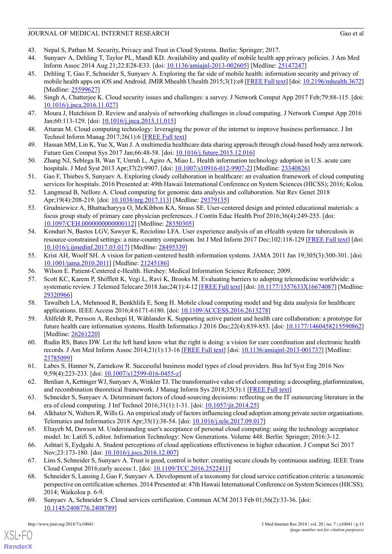- <span id="page-14-1"></span><span id="page-14-0"></span>43. Nepal S, Pathan M. Security, Privacy and Trust in Cloud Systems. Berlin: Springer; 2017.
- 44. Sunyaev A, Dehling T, Taylor PL, Mandl KD. Availability and quality of mobile health app privacy policies. J Am Med Inform Assoc 2014 Aug 21;22:E28-E33. [doi: [10.1136/amiajnl-2013-002605\]](http://dx.doi.org/10.1136/amiajnl-2013-002605) [Medline: [25147247\]](http://www.ncbi.nlm.nih.gov/entrez/query.fcgi?cmd=Retrieve&db=PubMed&list_uids=25147247&dopt=Abstract)
- <span id="page-14-2"></span>45. Dehling T, Gao F, Schneider S, Sunyaev A. Exploring the far side of mobile health: information security and privacy of mobile health apps on iOS and Android. JMIR Mhealth Uhealth 2015;3(1):e8 [\[FREE Full text](http://mhealth.jmir.org/2015/1/e8/)] [doi: [10.2196/mhealth.3672\]](http://dx.doi.org/10.2196/mhealth.3672) [Medline: [25599627](http://www.ncbi.nlm.nih.gov/entrez/query.fcgi?cmd=Retrieve&db=PubMed&list_uids=25599627&dopt=Abstract)]
- <span id="page-14-4"></span><span id="page-14-3"></span>46. Singh A, Chatterjee K. Cloud security issues and challenges: a survey. J Network Comput App 2017 Feb;79:88-115. [doi: [10.1016/j.jnca.2016.11.027\]](http://dx.doi.org/10.1016/j.jnca.2016.11.027)
- <span id="page-14-5"></span>47. Moura J, Hutchison D. Review and analysis of networking challenges in cloud computing. J Network Comput App 2016 Jan;60:113-129. [doi: [10.1016/j.jnca.2015.11.015](http://dx.doi.org/10.1016/j.jnca.2015.11.015)]
- <span id="page-14-6"></span>48. Attaran M. Cloud computing technology: leveraging the power of the internet to improve business performance. J Int Technol Inform Manag 2017;26(1):6 [[FREE Full text](https://www.researchgate.net/publication/314089481_Cloud_Computing_Technology_Leveraging_the_Power_of_The_Internet_to_Improve_Business_Performance)]
- <span id="page-14-7"></span>49. Hassan MM, Lin K, Yue X, Wan J. A multimedia healthcare data sharing approach through cloud-based body area network. Future Gen Comput Sys 2017 Jan;66:48-58. [doi: [10.1016/j.future.2015.12.016\]](http://dx.doi.org/10.1016/j.future.2015.12.016)
- <span id="page-14-8"></span>50. Zhang NJ, Seblega B, Wan T, Unruh L, Agiro A, Miao L. Health information technology adoption in U.S. acute care hospitals. J Med Syst 2013 Apr;37(2):9907. [doi: [10.1007/s10916-012-9907-2\]](http://dx.doi.org/10.1007/s10916-012-9907-2) [Medline: [23340826\]](http://www.ncbi.nlm.nih.gov/entrez/query.fcgi?cmd=Retrieve&db=PubMed&list_uids=23340826&dopt=Abstract)
- <span id="page-14-9"></span>51. Gao F, Thiebes S, Sunyaev A. Exploring cloudy collaboration in healthcare: an evaluation framework of cloud computing services for hospitals. 2016 Presented at: 49th Hawaii International Conference on System Sciences (HICSS); 2016; Koloa.
- <span id="page-14-10"></span>52. Langmead B, Nellore A. Cloud computing for genomic data analysis and collaboration. Nat Rev Genet 2018 Apr;19(4):208-219. [doi: [10.1038/nrg.2017.113](http://dx.doi.org/10.1038/nrg.2017.113)] [Medline: [29379135\]](http://www.ncbi.nlm.nih.gov/entrez/query.fcgi?cmd=Retrieve&db=PubMed&list_uids=29379135&dopt=Abstract)
- <span id="page-14-11"></span>53. Grudniewicz A, Bhattacharyya O, McKibbon KA, Straus SE. User-centered design and printed educational materials: a focus group study of primary care physician preferences. J Contin Educ Health Prof 2016;36(4):249-255. [doi: [10.1097/CEH.0000000000000112\]](http://dx.doi.org/10.1097/CEH.0000000000000112) [Medline: [28350305\]](http://www.ncbi.nlm.nih.gov/entrez/query.fcgi?cmd=Retrieve&db=PubMed&list_uids=28350305&dopt=Abstract)
- <span id="page-14-12"></span>54. Konduri N, Bastos LGV, Sawyer K, Reciolino LFA. User experience analysis of an eHealth system for tuberculosis in resource-constrained settings: a nine-country comparison. Int J Med Inform 2017 Dec;102:118-129 [[FREE Full text](https://linkinghub.elsevier.com/retrieve/pii/S1386-5056(17)30078-3)] [doi: [10.1016/j.ijmedinf.2017.03.017](http://dx.doi.org/10.1016/j.ijmedinf.2017.03.017)] [Medline: [28495339](http://www.ncbi.nlm.nih.gov/entrez/query.fcgi?cmd=Retrieve&db=PubMed&list_uids=28495339&dopt=Abstract)]
- <span id="page-14-14"></span><span id="page-14-13"></span>55. Krist AH, Woolf SH. A vision for patient-centered health information systems. JAMA 2011 Jan 19;305(3):300-301. [doi: [10.1001/jama.2010.2011\]](http://dx.doi.org/10.1001/jama.2010.2011) [Medline: [21245186\]](http://www.ncbi.nlm.nih.gov/entrez/query.fcgi?cmd=Retrieve&db=PubMed&list_uids=21245186&dopt=Abstract)
- <span id="page-14-15"></span>56. Wilson E. Patient-Centered e-Health. Hershey: Medical Information Science Reference; 2009.
- <span id="page-14-16"></span>57. Scott KC, Karem P, Shifflett K, Vegi L, Ravi K, Brooks M. Evaluating barriers to adopting telemedicine worldwide: a systematic review. J Telemed Telecare 2018 Jan;24(1):4-12 [\[FREE Full text\]](https://doi.org/10.1177/1357633X16674087) [doi: [10.1177/1357633X16674087](http://dx.doi.org/10.1177/1357633X16674087)] [Medline: [29320966](http://www.ncbi.nlm.nih.gov/entrez/query.fcgi?cmd=Retrieve&db=PubMed&list_uids=29320966&dopt=Abstract)]
- <span id="page-14-17"></span>58. Tawalbeh LA, Mehmood R, Benkhlifa E, Song H. Mobile cloud computing model and big data analysis for healthcare applications. IEEE Access 2016;4:6171-6180. [doi: [10.1109/ACCESS.2016.2613278\]](http://dx.doi.org/10.1109/ACCESS.2016.2613278)
- <span id="page-14-18"></span>59. Åhlfeldt R, Persson A, Rexhepi H, Wåhlander K. Supporting active patient and health care collaboration: a prototype for future health care information systems. Health Informatics J 2016 Dec;22(4):839-853. [doi: [10.1177/1460458215590862](http://dx.doi.org/10.1177/1460458215590862)] [Medline: [26261220](http://www.ncbi.nlm.nih.gov/entrez/query.fcgi?cmd=Retrieve&db=PubMed&list_uids=26261220&dopt=Abstract)]
- <span id="page-14-19"></span>60. Rudin RS, Bates DW. Let the left hand know what the right is doing: a vision for care coordination and electronic health records. J Am Med Inform Assoc 2014;21(1):13-16 [\[FREE Full text\]](http://europepmc.org/abstract/MED/23785099) [doi: [10.1136/amiajnl-2013-001737](http://dx.doi.org/10.1136/amiajnl-2013-001737)] [Medline: [23785099](http://www.ncbi.nlm.nih.gov/entrez/query.fcgi?cmd=Retrieve&db=PubMed&list_uids=23785099&dopt=Abstract)]
- <span id="page-14-21"></span><span id="page-14-20"></span>61. Labes S, Hanner N, Zarnekow R. Successful business model types of cloud providers. Bus Inf Syst Eng 2016 Nov 9;59(4):223-233. [doi: [10.1007/s12599-016-0455-z](http://dx.doi.org/10.1007/s12599-016-0455-z)]
- <span id="page-14-22"></span>62. Benlian A, Kettinger WJ, Sunyaev A, Winkler TJ. The transformative value of cloud computing: a decoupling, platformization, and recombination theoretical framework. J Manag Inform Sys 2018;35(3):1 [[FREE Full text\]](https://www.researchgate.net/publication/324968806_The_Transformative_Value_of_Cloud_Computing_A_Decoupling_Platformization_and_Recombination_Theoretical_Framework)
- <span id="page-14-23"></span>63. Schneider S, Sunyaev A. Determinant factors of cloud-sourcing decisions: reflecting on the IT outsourcing literature in the era of cloud computing. J Inf Technol 2016;31(1):1-31. [doi: [10.1057/jit.2014.25](http://dx.doi.org/10.1057/jit.2014.25)]
- <span id="page-14-24"></span>64. Alkhater N, Walters R, Wills G. An empirical study of factors influencing cloud adoption among private sector organisations. Telematics and Informatics 2018 Apr;35(1):38-54. [doi: [10.1016/j.tele.2017.09.017\]](http://dx.doi.org/10.1016/j.tele.2017.09.017)
- 65. Eltayeb M, Dawson M. Understanding user's acceptance of personal cloud computing: using the technology acceptance model. In: Latifi S, editor. Information Technology: New Generations. Volume 448. Berlin: Springer; 2016:3-12.
- <span id="page-14-25"></span>66. Ashtari S, Eydgahi A. Student perceptions of cloud applications effectiveness in higher education. J Comput Sci 2017 Nov;23:173-180. [doi: [10.1016/j.jocs.2016.12.007](http://dx.doi.org/10.1016/j.jocs.2016.12.007)]
- 67. Lins S, Schneider S, Sunyaev A. Trust is good, control is better: creating secure clouds by continuous auditing. IEEE Trans Cloud Comput 2016;early access:1. [doi: [10.1109/TCC.2016.2522411\]](http://dx.doi.org/10.1109/TCC.2016.2522411)
- 68. Schneider S, Lansing J, Gao F, Sunyaev A. Development of a taxonomy for cloud service certification criteria: a taxonomic perspective on certification schemes. 2014 Presented at: 47th Hawaii International Conference on System Sciences (HICSS); 2014; Waikoloa p. 6-9.
- 69. Sunyaev A, Schneider S. Cloud services certification. Commun ACM 2013 Feb 01;56(2):33-36. [doi: [10.1145/2408776.2408789\]](http://dx.doi.org/10.1145/2408776.2408789)